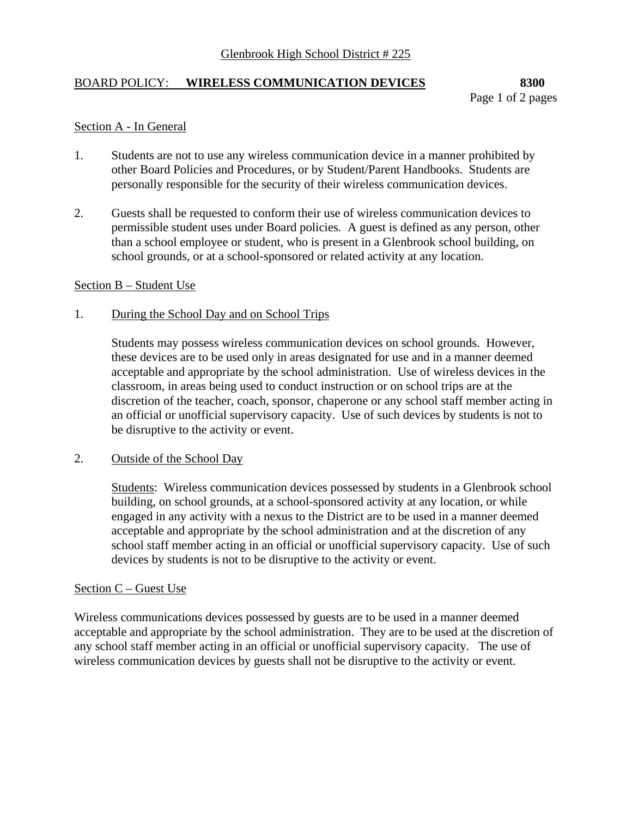# BOARD POLICY: **WIRELESS COMMUNICATION DEVICES 8300**

## Section A - In General

- 1. Students are not to use any wireless communication device in a manner prohibited by other Board Policies and Procedures, or by Student/Parent Handbooks. Students are personally responsible for the security of their wireless communication devices.
- 2. Guests shall be requested to conform their use of wireless communication devices to permissible student uses under Board policies. A guest is defined as any person, other than a school employee or student, who is present in a Glenbrook school building, on school grounds, or at a school-sponsored or related activity at any location.

#### Section B – Student Use

## 1. During the School Day and on School Trips

Students may possess wireless communication devices on school grounds. However, these devices are to be used only in areas designated for use and in a manner deemed acceptable and appropriate by the school administration. Use of wireless devices in the classroom, in areas being used to conduct instruction or on school trips are at the discretion of the teacher, coach, sponsor, chaperone or any school staff member acting in an official or unofficial supervisory capacity. Use of such devices by students is not to be disruptive to the activity or event.

## 2. Outside of the School Day

Students: Wireless communication devices possessed by students in a Glenbrook school building, on school grounds, at a school-sponsored activity at any location, or while engaged in any activity with a nexus to the District are to be used in a manner deemed acceptable and appropriate by the school administration and at the discretion of any school staff member acting in an official or unofficial supervisory capacity. Use of such devices by students is not to be disruptive to the activity or event.

#### Section C – Guest Use

Wireless communications devices possessed by guests are to be used in a manner deemed acceptable and appropriate by the school administration. They are to be used at the discretion of any school staff member acting in an official or unofficial supervisory capacity. The use of wireless communication devices by guests shall not be disruptive to the activity or event.